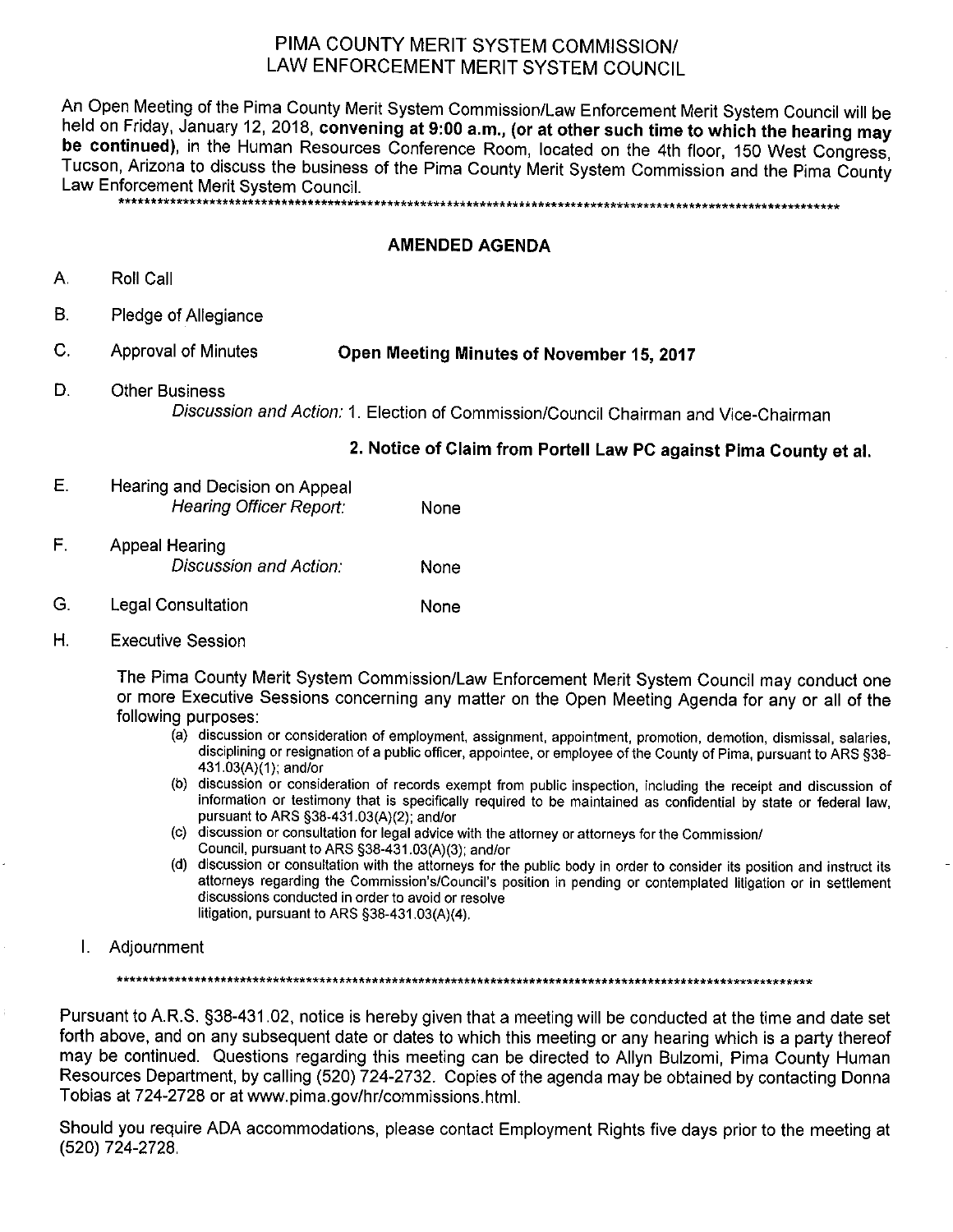# PIMA COUNTY MERIT SYSTEM COMMISSION/ LAW ENFORCEMENT MERIT SYSTEM COUNCIL

An Open Meeting of the Pima County Merit System Commission/Law Enforcement Merit System Council will be held on Friday, January 12, 2018, convening at 9:00 a.m., (or at other such time to which the hearing may be continued), in the Human Resources Conference Room, located on the 4th floor, 150 West Congress, Tucson, Arizona to discuss the business of the Pima County Merit System Commission and the Pima County Law Enforcement Merit System Council. 

### **AMENDED AGENDA**

- Α. Roll Call
- В. Pledge of Allegiance
- C. **Approval of Minutes** Open Meeting Minutes of November 15, 2017
- D. **Other Business** Discussion and Action: 1. Election of Commission/Council Chairman and Vice-Chairman

#### 2. Notice of Claim from Portell Law PC against Pima County et al.

- E. Hearing and Decision on Appeal **Hearing Officer Report:** None
- $F_{\rm L}$ **Appeal Hearing** Discussion and Action: None
- G. **Legal Consultation** None
- $H.$ **Executive Session**

The Pima County Merit System Commission/Law Enforcement Merit System Council may conduct one or more Executive Sessions concerning any matter on the Open Meeting Agenda for any or all of the following purposes:

- (a) discussion or consideration of employment, assignment, appointment, promotion, demotion, dismissal, salaries, disciplining or resignation of a public officer, appointee, or employee of the County of Pima, pursuant to ARS §38-431.03(A)(1); and/or
- (b) discussion or consideration of records exempt from public inspection, including the receipt and discussion of information or testimony that is specifically required to be maintained as confidential by state or federal law, pursuant to ARS §38-431.03(A)(2); and/or
- (c) discussion or consultation for legal advice with the attorney or attorneys for the Commission/ Council, pursuant to ARS §38-431.03(A)(3); and/or
- (d) discussion or consultation with the attorneys for the public body in order to consider its position and instruct its attorneys regarding the Commission's/Council's position in pending or contemplated litigation or in settlement discussions conducted in order to avoid or resolve litigation, pursuant to ARS §38-431.03(A)(4).
- Τ. Adjournment

Pursuant to A.R.S. §38-431.02, notice is hereby given that a meeting will be conducted at the time and date set forth above, and on any subsequent date or dates to which this meeting or any hearing which is a party thereof may be continued. Questions regarding this meeting can be directed to Allyn Bulzomi, Pima County Human Resources Department, by calling (520) 724-2732. Copies of the agenda may be obtained by contacting Donna Tobias at 724-2728 or at www.pima.gov/hr/commissions.html.

Should you require ADA accommodations, please contact Employment Rights five days prior to the meeting at (520) 724-2728.